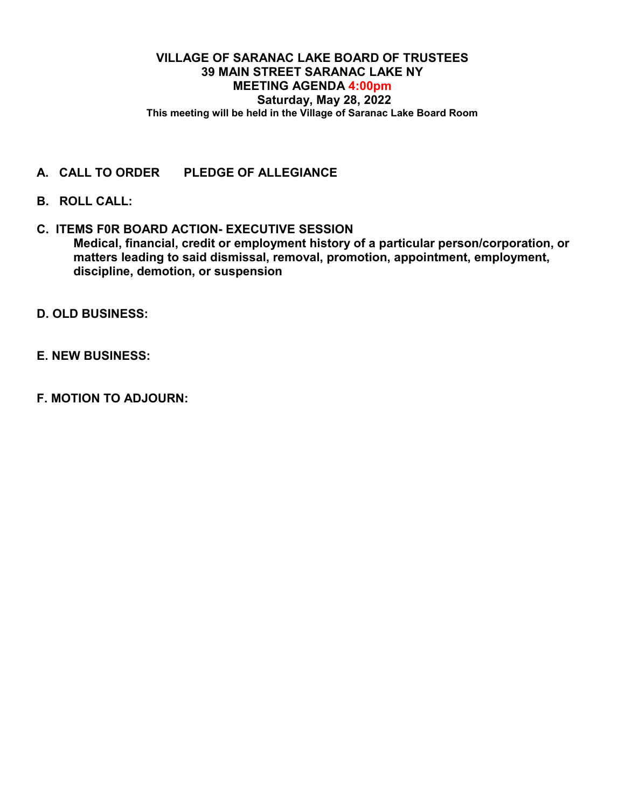## **VILLAGE OF SARANAC LAKE BOARD OF TRUSTEES 39 MAIN STREET SARANAC LAKE NY MEETING AGENDA 4:00pm Saturday, May 28, 2022 This meeting will be held in the Village of Saranac Lake Board Room**

- **A. CALL TO ORDER PLEDGE OF ALLEGIANCE**
- **B. ROLL CALL:**
- **C. ITEMS F0R BOARD ACTION- EXECUTIVE SESSION Medical, financial, credit or employment history of a particular person/corporation, or matters leading to said dismissal, removal, promotion, appointment, employment, discipline, demotion, or suspension**
- **D. OLD BUSINESS:**
- **E. NEW BUSINESS:**
- **F. MOTION TO ADJOURN:**